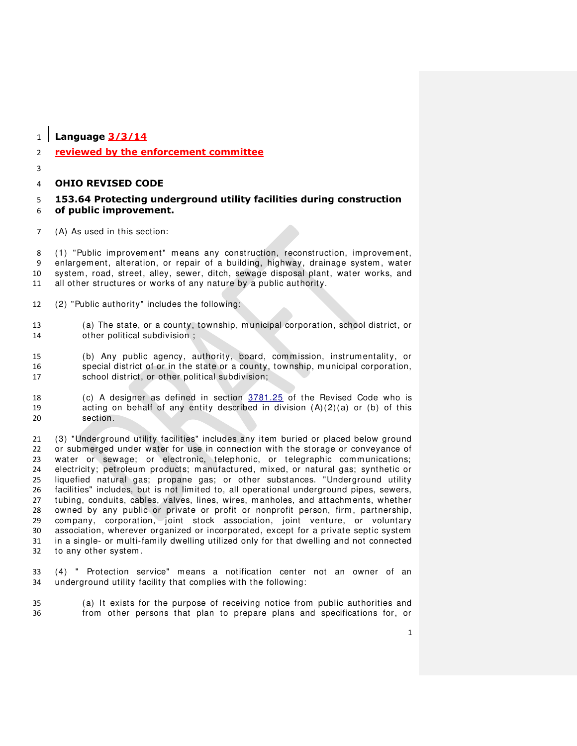**Language 3/3/14**

# **reviewed by the enforcement committee**

# **OHIO REVISED CODE**

# **153.64 Protecting underground utility facilities during construction of public improvement.**

(A) As used in this section:

 (1) "Public improvement" means any construction, reconstruction, improvement, enlargement, alteration, or repair of a building, highway, drainage system , water system , road, street, alley, sewer, ditch, sewage disposal plant, water works, and all other structures or works of any nature by a public authority.

- (2) "Public authority" includes the following:
- (a) The state, or a county, township, m unicipal corporation, school district, or other political subdivision ;

 (b) Any public agency, authority, board, commission, instrumentality, or 16 special district of or in the state or a county, township, municipal corporation,<br>17 school district, or other political subdivision: school district, or other political subdivision;

 (c) A designer as defined in section [3781.25](http://codes.ohio.gov/orc/3781.25) of the Revised Code who is 19 acting on behalf of any entity described in division  $(A)(2)(a)$  or (b) of this section.

 (3) "Underground utility facilities" includes any item buried or placed below ground or submerged under water for use in connection with the storage or conveyance of 23 water or sewage; or electronic, telephonic, or telegraphic communications; electricity; petroleum products; manufactured, mixed, or natural gas; synthetic or liquefied natural gas; propane gas; or other substances. "Underground utility facilities" includes, but is not limited to, all operational underground pipes, sewers, tubing, conduits, cables, valves, lines, wires, m anholes, and attachments, whether owned by any public or private or profit or nonprofit person, firm , partnership, company, corporation, joint stock association, joint venture, or voluntary association, wherever organized or incorporated, except for a private septic system in a single- or m ulti-family dwelling utilized only for that dwelling and not connected to any other system .

 (4) " Protection service" means a notification center not an owner of an underground utility facility that complies with the following:

 (a) It exists for the purpose of receiving notice from public authorities and from other persons that plan to prepare plans and specifications for, or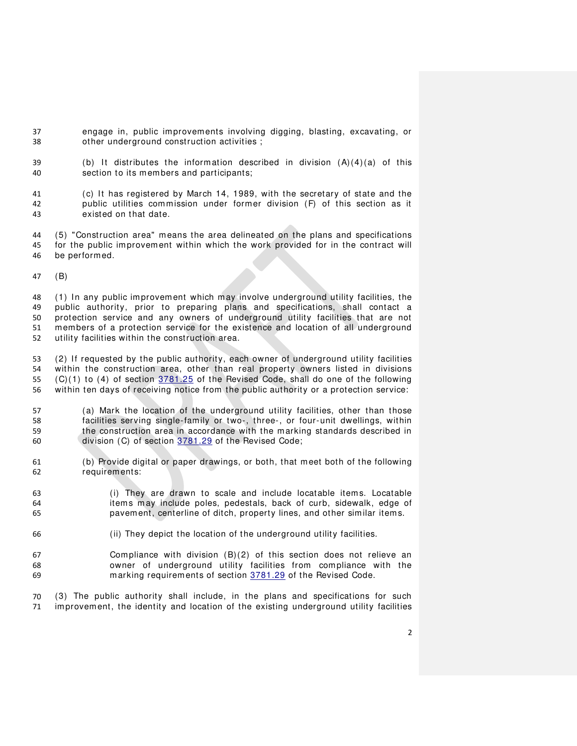- engage in, public improvements involving digging, blasting, excavating, or other underground construction activities ;
- 39 (b) It distributes the information described in division  $(A)(4)(a)$  of this section to its members and participants;
- (c) It has registered by March 14, 1989, with the secretary of state and the public utilities commission under former division (F) of this section as it existed on that date.
- (5) "Construction area" means the area delineated on the plans and specifications for the public im provement within which the work provided for in the contract will be performed.
- (B)

 (1) In any public improvement which may involve underground utility facilities, the public authority, prior to preparing plans and specifications, shall contact a protection service and any owners of underground utility facilities that are not members of a protection service for the existence and location of all underground utility facilities within the construction area.

 (2) If requested by the public authority, each owner of underground utility facilities within the construction area, other than real property owners listed in divisions (C)(1) to (4) of section [3781.25](http://codes.ohio.gov/orc/3781.25) of the Revised Code, shall do one of the following within ten days of receiving notice from the public authority or a protection service:

- (a) Mark the location of the underground utility facilities, other than those facilities serving single-family or two-, three-, or four-unit dwellings, within the construction area in accordance with the marking standards described in division (C) of section [3781.29](http://codes.ohio.gov/orc/3781.29) of the Revised Code;
- (b) Provide digital or paper drawings, or both, that meet both of the following requirements:
- (i) They are drawn to scale and include locatable item s. Locatable item s m ay include poles, pedestals, back of curb, sidewalk, edge of pavement, centerline of ditch, property lines, and other similar item s.
- (ii) They depict the location of the underground utility facilities.
- Compliance with division (B)(2) of this section does not relieve an owner of underground utility facilities from compliance with the marking requirements of section [3781.29](http://codes.ohio.gov/orc/3781.29) of the Revised Code.
- (3) The public authority shall include, in the plans and specifications for such improvement, the identity and location of the existing underground utility facilities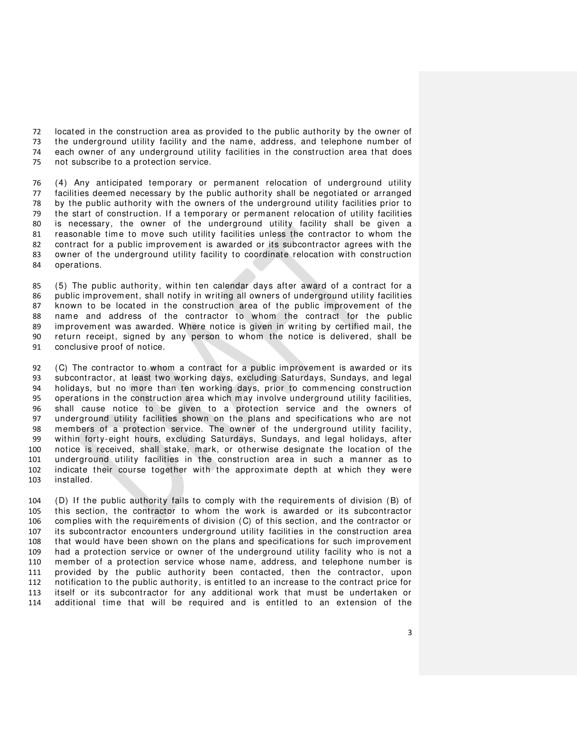located in the construction area as provided to the public authority by the owner of the underground utility facility and the name, address, and telephone number of each owner of any underground utility facilities in the construction area that does not subscribe to a protection service.

76 (4) Any anticipated temporary or permanent relocation of underground utility facilities deemed necessary by the public authority shall be negotiated or arranged by the public authority with the owners of the underground utility facilities prior to the start of construction. If a temporary or permanent relocation of utility facilities is necessary, the owner of the underground utility facility shall be given a reasonable time to move such utility facilities unless the contractor to whom the contract for a public improvement is awarded or its subcontractor agrees with the owner of the underground utility facility to coordinate relocation with construction operations.

 (5) The public authority, within ten calendar days after award of a contract for a public improvement, shall notify in writing all owners of underground utility facilities known to be located in the construction area of the public improvement of the name and address of the contractor to whom the contract for the public improvement was awarded. Where notice is given in writing by certified mail, the return receipt, signed by any person to whom the notice is delivered, shall be conclusive proof of notice.

 (C) The contractor to whom a contract for a public improvement is awarded or its subcontractor, at least two working days, excluding Saturdays, Sundays, and legal holidays, but no more than ten working days, prior to commencing construction operations in the construction area which may involve underground utility facilities, 96 shall cause notice to be given to a protection service and the owners of 97 underground utility facilities shown on the plans and specifications who are not underground utility facilities shown on the plans and specifications who are not members of a protection service. The owner of the underground utility facility, within forty-eight hours, excluding Saturdays, Sundays, and legal holidays, after notice is received, shall stake, mark, or otherwise designate the location of the underground utility facilities in the construction area in such a manner as to indicate their course together with the approximate depth at which they were installed.

 (D) If the public authority fails to comply with the requirements of division (B) of this section, the contractor to whom the work is awarded or its subcontractor complies with the requirements of division (C) of this section, and the contractor or its subcontractor encounters underground utility facilities in the construction area that would have been shown on the plans and specifications for such improvement had a protection service or owner of the underground utility facility who is not a member of a protection service whose name, address, and telephone number is provided by the public authority been contacted, then the contractor, upon notification to the public authority, is entitled to an increase to the contract price for itself or its subcontractor for any additional work that m ust be undertaken or additional time that will be required and is entitled to an extension of the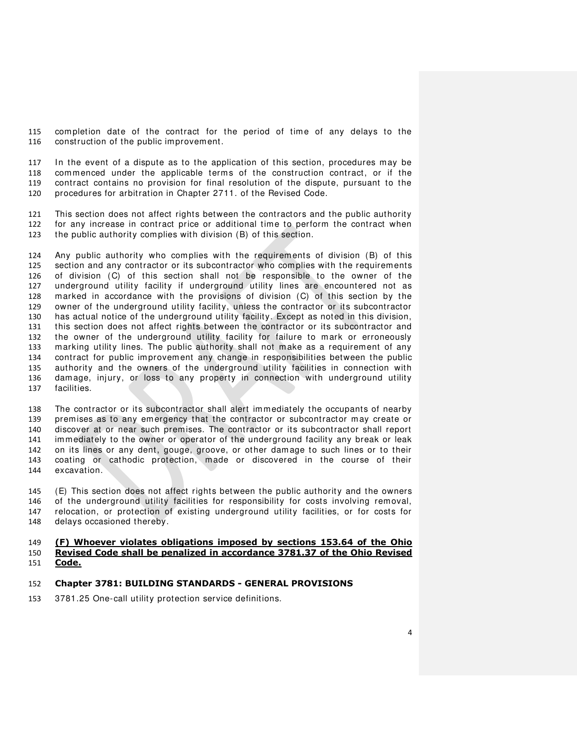completion date of the contract for the period of time of any delays to the construction of the public improvement.

 In the event of a dispute as to the application of this section, procedures may be 118 commenced under the applicable terms of the construction contract, or if the contract contains no provision for final resolution of the dispute, pursuant to the procedures for arbitration in Chapter 2711. of the Revised Code.

 This section does not affect rights between the contractors and the public authority for any increase in contract price or additional time to perform the contract when the public authority complies with division (B) of this section.

 Any public authority who complies with the requirements of division (B) of this section and any contractor or its subcontractor who complies with the requirements of division (C) of this section shall not be responsible to the owner of the underground utility facility if underground utility lines are encountered not as marked in accordance with the provisions of division (C) of this section by the owner of the underground utility facility, unless the contractor or its subcontractor has actual notice of the underground utility facility. Except as noted in this division, this section does not affect rights between the contractor or its subcontractor and the owner of the underground utility facility for failure to mark or erroneously marking utility lines. The public authority shall not make as a requirement of any contract for public improvement any change in responsibilities between the public authority and the owners of the underground utility facilities in connection with damage, injury, or loss to any property in connection with underground utility facilities.

138 The contractor or its subcontractor shall alert immediately the occupants of nearby premises as to any emergency that the contractor or subcontractor may create or discover at or near such premises. The contractor or its subcontractor shall report immediately to the owner or operator of the underground facility any break or leak on its lines or any dent, gouge, groove, or other damage to such lines or to their coating or cathodic protection, made or discovered in the course of their excavation.

 (E) This section does not affect rights between the public authority and the owners of the underground utility facilities for responsibility for costs involving removal, relocation, or protection of existing underground utility facilities, or for costs for delays occasioned thereby.

#### **(F) Whoever violates obligations imposed by sections 153.64 of the Ohio Revised Code shall be penalized in accordance 3781.37 of the Ohio Revised Code.**

#### **Chapter 3781: BUILDING STANDARDS - GENERAL PROVISIONS**

[3781.25 One-call utility protection service definitions.](http://codes.ohio.gov/orc/3781.25)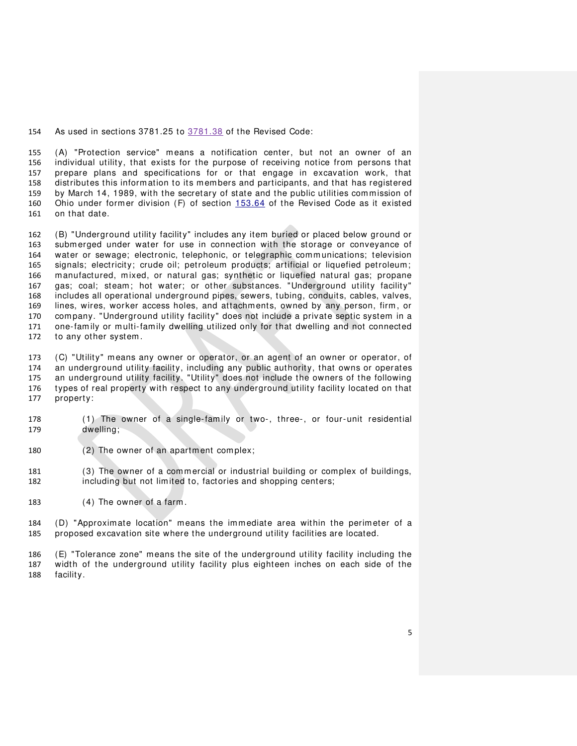As used in sections 3781.25 to 3781.38 of the Revised Code:

 (A) "Protection service" means a notification center, but not an owner of an individual utility, that exists for the purpose of receiving notice from persons that prepare plans and specifications for or that engage in excavation work, that distributes this information to its members and participants, and that has registered by March 14, 1989, with the secretary of state and the public utilities commission of Ohio under former division (F) of section [153.64](http://codes.ohio.gov/orc/153.64) of the Revised Code as it existed on that date.

 (B) "Underground utility facility" includes any item buried or placed below ground or submerged under water for use in connection with the storage or conveyance of water or sewage; electronic, telephonic, or telegraphic comm unications; television signals; electricity; crude oil; petroleum products; artificial or liquefied petroleum; manufactured, mixed, or natural gas; synthetic or liquefied natural gas; propane gas; coal; steam; hot water; or other substances. "Underground utility facility" includes all operational underground pipes, sewers, tubing, conduits, cables, valves, lines, wires, worker access holes, and attachments, owned by any person, firm , or company. "Underground utility facility" does not include a private septic system in a 171 one-family or multi-family dwelling utilized only for that dwelling and not connected to any other system .

 (C) "Utility" means any owner or operator, or an agent of an owner or operator, of an underground utility facility, including any public authority, that owns or operates an underground utility facility. "Utility" does not include the owners of the following types of real property with respect to any underground utility facility located on that property:

- (1) The owner of a single-fam ily or two-, three-, or four-unit residential dwelling;
- (2) The owner of an apartment complex;
- (3) The owner of a commercial or industrial building or complex of buildings, including but not limited to, factories and shopping centers;
- (4) The owner of a farm .

 (D) "Approximate location" means the immediate area within the perimeter of a proposed excavation site where the underground utility facilities are located.

 (E) "Tolerance zone" means the site of the underground utility facility including the width of the underground utility facility plus eighteen inches on each side of the facility.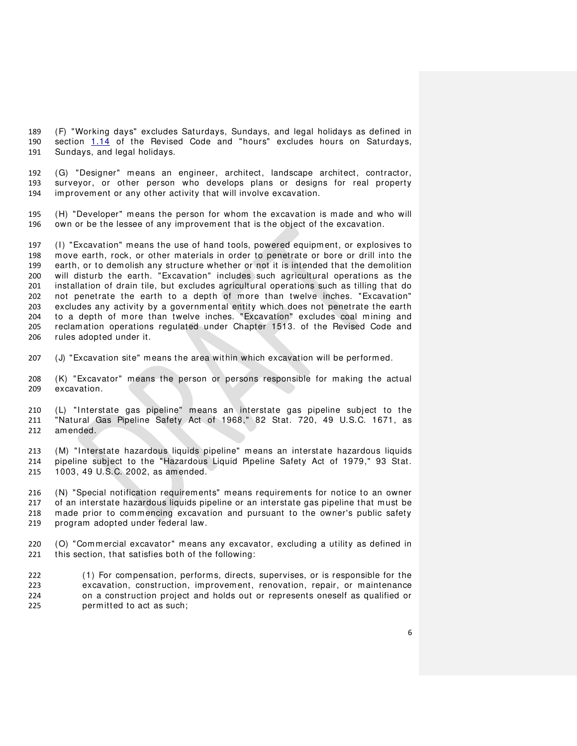(F) "Working days" excludes Saturdays, Sundays, and legal holidays as defined in section [1.14](http://codes.ohio.gov/orc/gp1.14) of the Revised Code and "hours" excludes hours on Saturdays, Sundays, and legal holidays.

 (G) "Designer" means an engineer, architect, landscape architect, contractor, surveyor, or other person who develops plans or designs for real property improvement or any other activity that will involve excavation.

 (H) "Developer" means the person for whom the excavation is made and who will own or be the lessee of any improvement that is the object of the excavation.

 (I) "Excavation" means the use of hand tools, powered equipment, or explosives to move earth, rock, or other materials in order to penetrate or bore or drill into the earth, or to demolish any structure whether or not it is intended that the demolition will disturb the earth. "Excavation" includes such agricultural operations as the installation of drain tile, but excludes agricultural operations such as tilling that do not penetrate the earth to a depth of more than twelve inches. "Excavation" excludes any activity by a governmental entity which does not penetrate the earth 204 to a depth of more than twelve inches. "Excavation" excludes coal mining and reclamation operations regulated under Chapter 1513. of the Revised Code and rules adopted under it.

(J) "Excavation site" means the area within which excavation will be performed.

 (K) "Excavator" means the person or persons responsible for making the actual excavation.

 (L) "Interstate gas pipeline" means an interstate gas pipeline subject to the "Natural Gas Pipeline Safety Act of 1968," 82 Stat. 720, 49 U.S.C. 1671, as amended.

 (M) "Interstate hazardous liquids pipeline" means an interstate hazardous liquids pipeline subject to the "Hazardous Liquid Pipeline Safety Act of 1979," 93 Stat. 1003, 49 U.S.C. 2002, as amended.

 (N) "Special notification requirements" means requirements for notice to an owner 217 of an interstate hazardous liquids pipeline or an interstate gas pipeline that must be made prior to commencing excavation and pursuant to the owner's public safety program adopted under federal law.

 (O) "Com mercial excavator" means any excavator, excluding a utility as defined in this section, that satisfies both of the following:

 (1) For compensation, performs, directs, supervises, or is responsible for the excavation, construction, improvement, renovation, repair, or maintenance on a construction project and holds out or represents oneself as qualified or permitted to act as such;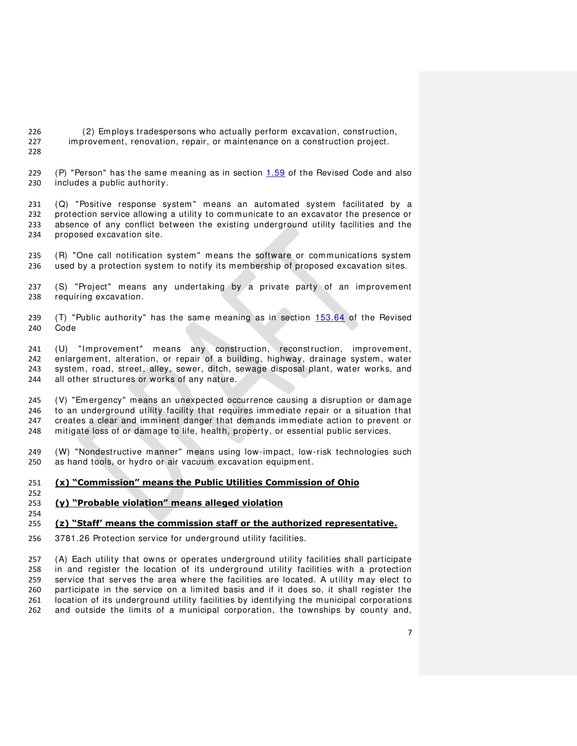- (2) Employs tradespersons who actually perform excavation, construction, improvement, renovation, repair, or maintenance on a construction project.
- 

 (P) "Person" has the same meaning as in section [1.59](http://codes.ohio.gov/orc/gp1.59) of the Revised Code and also includes a public authority.

 (Q) "Positive response system " means an automated system facilitated by a protection service allowing a utility to comm unicate to an excavator the presence or absence of any conflict between the existing underground utility facilities and the proposed excavation site.

235 (R) "One call notification system" means the software or communications system used by a protection system to notify its membership of proposed excavation sites.

 (S) "Project" means any undertaking by a private party of an improvement requiring excavation.

239 (T) "Public authority" has the same meaning as in section  $153.64$  of the Revised Code

 (U) "Improvement" means any construction, reconstruction, improvement, enlargement, alteration, or repair of a building, highway, drainage system , water system , road, street, alley, sewer, ditch, sewage disposal plant, water works, and 244 all other structures or works of any nature.

 (V) "Emergency" means an unexpected occurrence causing a disruption or damage to an underground utility facility that requires immediate repair or a situation that creates a clear and imminent danger that demands immediate action to prevent or mitigate loss of or damage to life, health, property, or essential public services.

 (W) "Nondestructive manner" means using low-impact, low-risk technologies such as hand tools, or hydro or air vacuum excavation equipment.

#### **(x) "Commission" means the Public Utilities Commission of Ohio**

### **(y) "Probable violation" means alleged violation**

# **(z) "Staff' means the commission staff or the authorized representative.**

[3781.26 Protection service for underground utility facilities.](http://codes.ohio.gov/orc/3781.26) 

 (A) Each utility that owns or operates underground utility facilities shall participate in and register the location of its underground utility facilities with a protection service that serves the area where the facilities are located. A utility may elect to participate in the service on a limited basis and if it does so, it shall register the 261 location of its underground utility facilities by identifying the municipal corporations 262 and outside the limits of a municipal corporation, the townships by county and,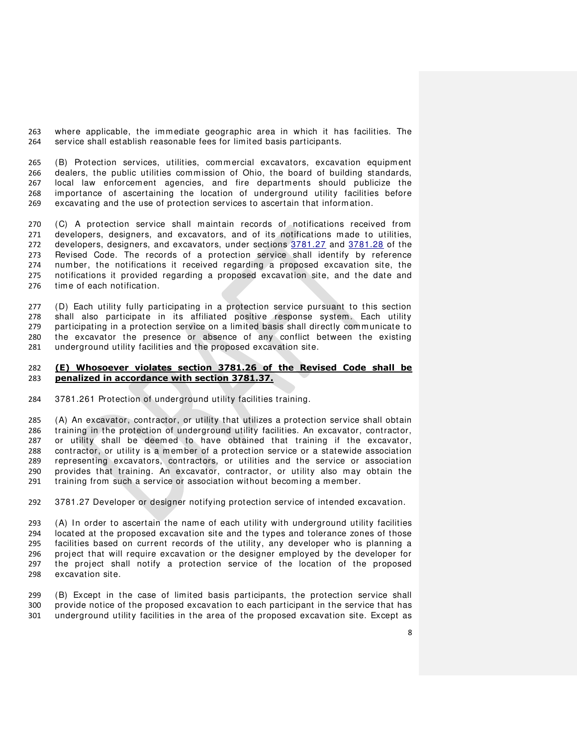where applicable, the immediate geographic area in which it has facilities. The service shall establish reasonable fees for limited basis participants.

 (B) Protection services, utilities, commercial excavators, excavation equipment dealers, the public utilities commission of Ohio, the board of building standards, local law enforcement agencies, and fire departments should publicize the importance of ascertaining the location of underground utility facilities before excavating and the use of protection services to ascertain that information.

 (C) A protection service shall maintain records of notifications received from developers, designers, and excavators, and of its notifications made to utilities, developers, designers, and excavators, under sections [3781.27](http://codes.ohio.gov/orc/3781.27) and [3781.28](http://codes.ohio.gov/orc/3781.28) of the Revised Code. The records of a protection service shall identify by reference number, the notifications it received regarding a proposed excavation site, the notifications it provided regarding a proposed excavation site, and the date and time of each notification.

 (D) Each utility fully participating in a protection service pursuant to this section 278 shall also participate in its affiliated positive response system. Each utility<br>279 participating in a protection service on a limited basis shall directly communicate to participating in a protection service on a limited basis shall directly communicate to the excavator the presence or absence of any conflict between the existing underground utility facilities and the proposed excavation site.

#### **(E) Whosoever violates section 3781.26 of the Revised Code shall be penalized in accordance with section 3781.37.**

[3781.261 Protection of underground utility facilities training.](http://codes.ohio.gov/orc/3781.261) 

 (A) An excavator, contractor, or utility that utilizes a protection service shall obtain training in the protection of underground utility facilities. An excavator, contractor, or utility shall be deemed to have obtained that training if the excavator, contractor, or utility is a member of a protection service or a statewide association representing excavators, contractors, or utilities and the service or association provides that training. An excavator, contractor, or utility also may obtain the training from such a service or association without becoming a member.

[3781.27 Developer or designer notifying protection service of intended excavation.](http://codes.ohio.gov/orc/3781.27) 

293 (A) In order to ascertain the name of each utility with underground utility facilities<br>294 Iocated at the proposed excavation site and the types and tolerance zones of those 294 located at the proposed excavation site and the types and tolerance zones of those<br>295 localities based on current records of the utility, any developer who is planning a facilities based on current records of the utility, any developer who is planning a project that will require excavation or the designer employed by the developer for the project shall notify a protection service of the location of the proposed excavation site.

299 (B) Except in the case of limited basis participants, the protection service shall<br>200 provide notice of the proposed excavation to each participant in the service that has provide notice of the proposed excavation to each participant in the service that has underground utility facilities in the area of the proposed excavation site. Except as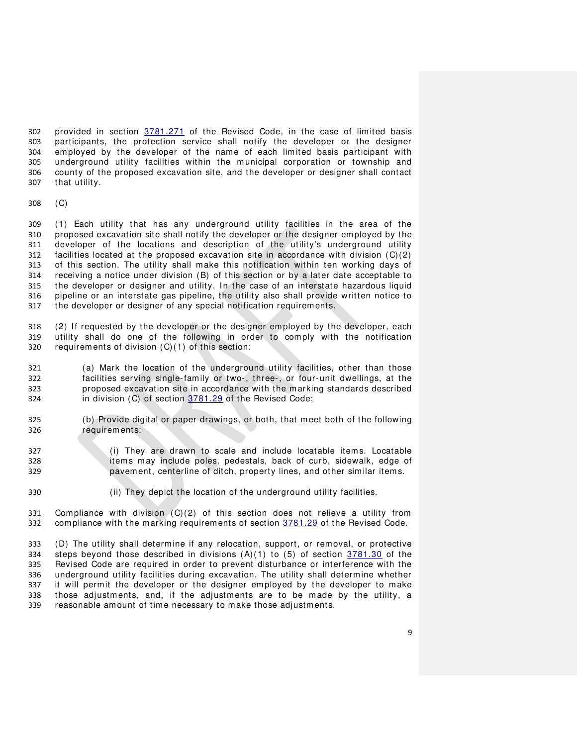provided in section [3781.271](http://codes.ohio.gov/orc/3781.271) of the Revised Code, in the case of limited basis participants, the protection service shall notify the developer or the designer employed by the developer of the name of each limited basis participant with underground utility facilities within the m unicipal corporation or township and county of the proposed excavation site, and the developer or designer shall contact that utility.

(C)

 (1) Each utility that has any underground utility facilities in the area of the proposed excavation site shall notify the developer or the designer employed by the developer of the locations and description of the utility's underground utility 312 facilities located at the proposed excavation site in accordance with division  $(C)(2)$  of this section. The utility shall make this notification within ten working days of receiving a notice under division (B) of this section or by a later date acceptable to the developer or designer and utility. In the case of an interstate hazardous liquid pipeline or an interstate gas pipeline, the utility also shall provide written notice to the developer or designer of any special notification requirements.

 (2) If requested by the developer or the designer employed by the developer, each utility shall do one of the following in order to comply with the notification requirements of division (C)(1) of this section:

 (a) Mark the location of the underground utility facilities, other than those facilities serving single-family or two-, three-, or four-unit dwellings, at the proposed excavation site in accordance with the marking standards described in division (C) of section [3781.29](http://codes.ohio.gov/orc/3781.29) of the Revised Code;

- (b) Provide digital or paper drawings, or both, that meet both of the following requirements:
- (i) They are drawn to scale and include locatable item s. Locatable item s m ay include poles, pedestals, back of curb, sidewalk, edge of pavement, centerline of ditch, property lines, and other similar item s.
- (ii) They depict the location of the underground utility facilities.

331 Compliance with division  $(C)(2)$  of this section does not relieve a utility from compliance with the marking requirements of section [3781.29](http://codes.ohio.gov/orc/3781.29) of the Revised Code.

 (D) The utility shall determine if any relocation, support, or removal, or protective 334 steps beyond those described in divisions  $(A)(1)$  to  $(5)$  of section  $3781.30$  of the Revised Code are required in order to prevent disturbance or interference with the underground utility facilities during excavation. The utility shall determine whether it will permit the developer or the designer employed by the developer to make those adjustments, and, if the adjustments are to be made by the utility, a reasonable amount of time necessary to make those adjustments.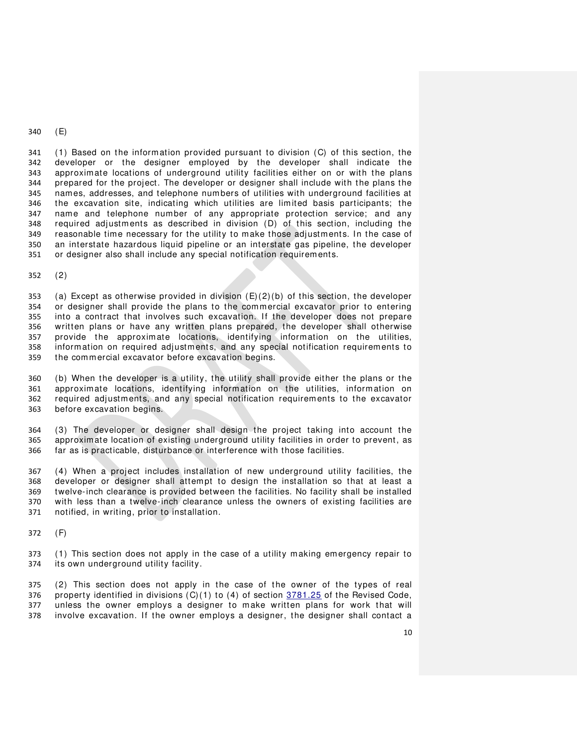(E)

 (1) Based on the information provided pursuant to division (C) of this section, the developer or the designer employed by the developer shall indicate the approximate locations of underground utility facilities either on or with the plans prepared for the project. The developer or designer shall include with the plans the names, addresses, and telephone numbers of utilities with underground facilities at the excavation site, indicating which utilities are lim ited basis participants; the name and telephone number of any appropriate protection service; and any required adjustments as described in division (D) of this section, including the reasonable time necessary for the utility to make those adjustments. In the case of an interstate hazardous liquid pipeline or an interstate gas pipeline, the developer or designer also shall include any special notification requirements.

(2)

353 (a) Except as otherwise provided in division  $(E)(2)(b)$  of this section, the developer or designer shall provide the plans to the commercial excavator prior to entering into a contract that involves such excavation. If the developer does not prepare written plans or have any written plans prepared, the developer shall otherwise provide the approximate locations, identifying information on the utilities, information on required adjustments, and any special notification requirements to the commercial excavator before excavation begins.

 (b) When the developer is a utility, the utility shall provide either the plans or the approximate locations, identifying information on the utilities, information on required adjustments, and any special notification requirements to the excavator before excavation begins.

 (3) The developer or designer shall design the project taking into account the approximate location of existing underground utility facilities in order to prevent, as far as is practicable, disturbance or interference with those facilities.

 (4) When a project includes installation of new underground utility facilities, the developer or designer shall attempt to design the installation so that at least a twelve-inch clearance is provided between the facilities. No facility shall be installed with less than a twelve-inch clearance unless the owners of existing facilities are notified, in writing, prior to installation.

(F)

 (1) This section does not apply in the case of a utility making emergency repair to its own underground utility facility.

375 (2) This section does not apply in the case of the owner of the types of real 376 property identified in divisions  $(C)(1)$  to  $(4)$  of section  $\frac{3781.25}{2}$  of the Revised Code, 377 unless the owner employs a designer to make written plans for work that will unless the owner employs a designer to make written plans for work that will involve excavation. If the owner employs a designer, the designer shall contact a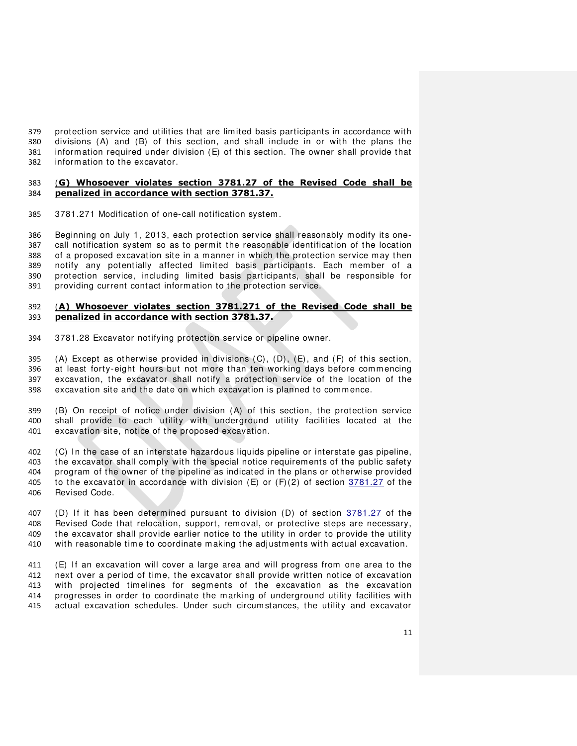protection service and utilities that are limited basis participants in accordance with divisions (A) and (B) of this section, and shall include in or with the plans the information required under division (E) of this section. The owner shall provide that information to the excavator.

### (**G) Whosoever violates section 3781.27 of the Revised Code shall be penalized in accordance with section 3781.37.**

[3781.271 Modification of one-call notification system .](http://codes.ohio.gov/orc/3781.271) 

 Beginning on July 1, 2013, each protection service shall reasonably modify its one- call notification system so as to permit the reasonable identification of the location of a proposed excavation site in a m anner in which the protection service may then notify any potentially affected limited basis participants. Each member of a protection service, including limited basis participants, shall be responsible for providing current contact inform ation to the protection service.

### (**A) Whosoever violates section 3781.271 of the Revised Code shall be penalized in accordance with section 3781.37.**

[3781.28 Excavator notifying protection service or pipeline owner.](http://codes.ohio.gov/orc/3781.28) 

395 (A) Except as otherwise provided in divisions  $(C)$ ,  $(D)$ ,  $(E)$ , and  $(F)$  of this section, at least forty-eight hours but not more than ten working days before commencing excavation, the excavator shall notify a protection service of the location of the excavation site and the date on which excavation is planned to commence.

 (B) On receipt of notice under division (A) of this section, the protection service shall provide to each utility with underground utility facilities located at the excavation site, notice of the proposed excavation.

 (C) In the case of an interstate hazardous liquids pipeline or interstate gas pipeline, the excavator shall comply with the special notice requirements of the public safety program of the owner of the pipeline as indicated in the plans or otherwise provided 405 to the excavator in accordance with division  $(E)$  or  $(F)(2)$  of section  $3781.27$  of the Revised Code.

 (D) If it has been determined pursuant to division (D) of section [3781.27](http://codes.ohio.gov/orc/3781.27) of the Revised Code that relocation, support, removal, or protective steps are necessary, the excavator shall provide earlier notice to the utility in order to provide the utility with reasonable time to coordinate making the adjustments with actual excavation.

 (E) If an excavation will cover a large area and will progress from one area to the next over a period of time, the excavator shall provide written notice of excavation with projected timelines for segments of the excavation as the excavation progresses in order to coordinate the marking of underground utility facilities with actual excavation schedules. Under such circum stances, the utility and excavator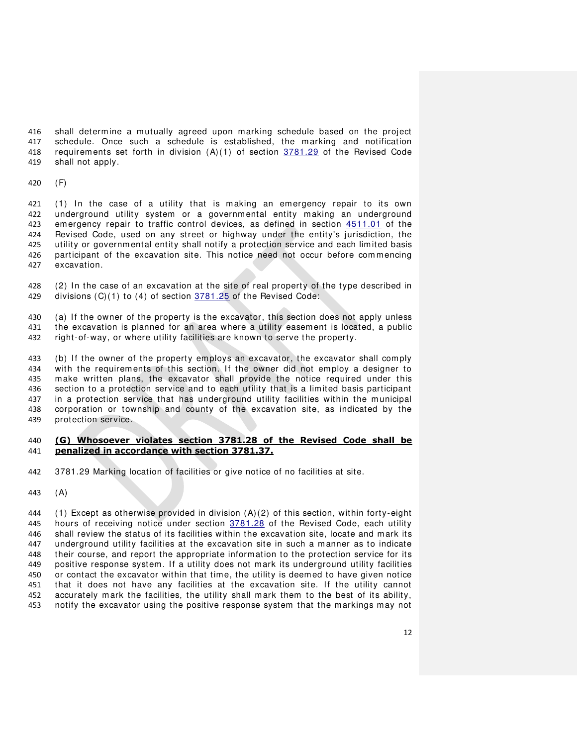shall determine a mutually agreed upon marking schedule based on the project schedule. Once such a schedule is established, the marking and notification requirements set forth in division (A)(1) of section [3781.29](http://codes.ohio.gov/orc/3781.29) of the Revised Code shall not apply.

(F)

 (1) In the case of a utility that is making an emergency repair to its own underground utility system or a governmental entity making an underground emergency repair to traffic control devices, as defined in section [4511.01](http://codes.ohio.gov/orc/4511.01) of the Revised Code, used on any street or highway under the entity's jurisdiction, the utility or governmental entity shall notify a protection service and each limited basis participant of the excavation site. This notice need not occur before com mencing excavation.

 (2) In the case of an excavation at the site of real property of the type described in 429 divisions (C)(1) to (4) of section [3781.25](http://codes.ohio.gov/orc/3781.25) of the Revised Code:

 (a) If the owner of the property is the excavator, this section does not apply unless the excavation is planned for an area where a utility easement is located, a public right-of-way, or where utility facilities are known to serve the property.

 (b) If the owner of the property employs an excavator, the excavator shall comply with the requirements of this section. If the owner did not employ a designer to make written plans, the excavator shall provide the notice required under this section to a protection service and to each utility that is a limited basis participant 437 in a protection service that has underground utility facilities within the municipal corporation or township and county of the excavation site, as indicated by the protection service.

## **(G) Whosoever violates section 3781.28 of the Revised Code shall be penalized in accordance with section 3781.37.**

[3781.29 Marking location of facilities or give notice of no facilities at site.](http://codes.ohio.gov/orc/3781.29) 

(A)

444 (1) Except as otherwise provided in division  $(A)(2)$  of this section, within forty-eight 445 hours of receiving notice under section [3781.28](http://codes.ohio.gov/orc/3781.28) of the Revised Code, each utility shall review the status of its facilities within the excavation site, locate and mark its underground utility facilities at the excavation site in such a manner as to indicate their course, and report the appropriate information to the protection service for its positive response system . If a utility does not mark its underground utility facilities or contact the excavator within that time, the utility is deemed to have given notice that it does not have any facilities at the excavation site. If the utility cannot accurately m ark the facilities, the utility shall mark them to the best of its ability, notify the excavator using the positive response system that the markings may not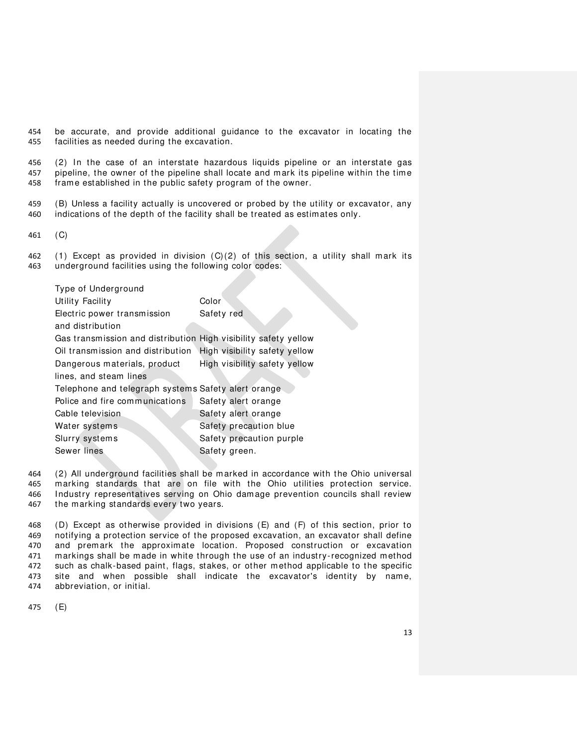be accurate, and provide additional guidance to the excavator in locating the facilities as needed during the excavation.

 (2) In the case of an interstate hazardous liquids pipeline or an interstate gas pipeline, the owner of the pipeline shall locate and mark its pipeline within the time frame established in the public safety program of the owner.

 (B) Unless a facility actually is uncovered or probed by the utility or excavator, any indications of the depth of the facility shall be treated as estimates only.

(C)

 (1) Except as provided in division (C)(2) of this section, a utility shall mark its underground facilities using the following color codes:

| Type of Underground                                             |                               |  |
|-----------------------------------------------------------------|-------------------------------|--|
| Utility Facility                                                | Color                         |  |
| Electric power transmission                                     | Safety red                    |  |
| and distribution                                                |                               |  |
| Gas transmission and distribution High visibility safety yellow |                               |  |
| Oil transmission and distribution                               | High visibility safety yellow |  |
| Dangerous materials, product                                    | High visibility safety yellow |  |
| lines, and steam lines                                          |                               |  |
| Telephone and telegraph systems Safety alert orange             |                               |  |
| Police and fire communications                                  | Safety alert orange           |  |
| Cable television                                                | Safety alert orange           |  |
| Water systems                                                   | Safety precaution blue        |  |
| Slurry systems                                                  | Safety precaution purple      |  |
| Sewer lines                                                     | Safety green.                 |  |

 (2) All underground facilities shall be marked in accordance with the Ohio universal marking standards that are on file with the Ohio utilities protection service. Industry representatives serving on Ohio damage prevention councils shall review the marking standards every two years.

 (D) Except as otherwise provided in divisions (E) and (F) of this section, prior to notifying a protection service of the proposed excavation, an excavator shall define and premark the approximate location. Proposed construction or excavation markings shall be made in white through the use of an industry-recognized method such as chalk-based paint, flags, stakes, or other method applicable to the specific site and when possible shall indicate the excavator's identity by name, abbreviation, or initial.

(E)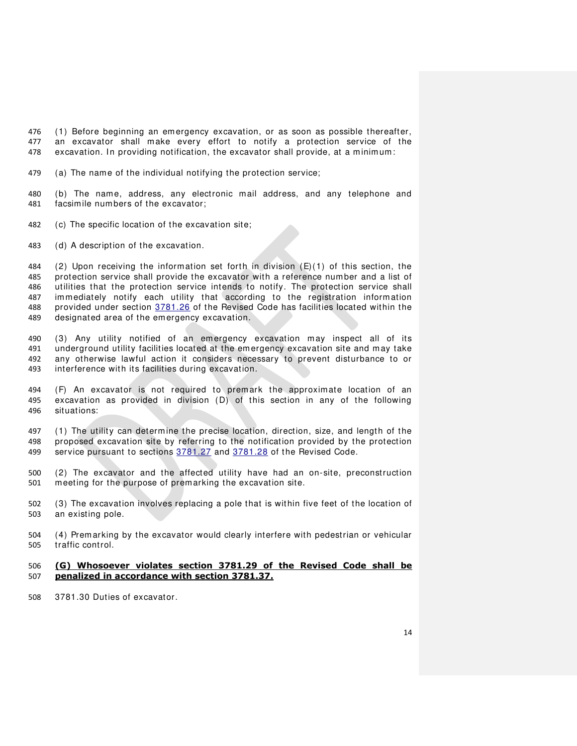(1) Before beginning an emergency excavation, or as soon as possible thereafter, an excavator shall make every effort to notify a protection service of the 478 excavation. In providing notification, the excavator shall provide, at a minimum:

- (a) The name of the individual notifying the protection service;
- (b) The name, address, any electronic mail address, and any telephone and facsimile num bers of the excavator;
- (c) The specific location of the excavation site;
- (d) A description of the excavation.

 (2) Upon receiving the information set forth in division (E)(1) of this section, the protection service shall provide the excavator with a reference number and a list of utilities that the protection service intends to notify. The protection service shall immediately notify each utility that according to the registration information 488 provided under section [3781.26](http://codes.ohio.gov/orc/3781.26) of the Revised Code has facilities located within the designated area of the emergency excavation.

 (3) Any utility notified of an emergency excavation may inspect all of its underground utility facilities located at the emergency excavation site and may take any otherwise lawful action it considers necessary to prevent disturbance to or interference with its facilities during excavation.

 (F) An excavator is not required to premark the approximate location of an excavation as provided in division (D) of this section in any of the following situations:

 (1) The utility can determine the precise location, direction, size, and length of the proposed excavation site by referring to the notification provided by the protection 499 service pursuant to sections [3781.27](http://codes.ohio.gov/orc/3781.27) and [3781.28](http://codes.ohio.gov/orc/3781.28) of the Revised Code.

- (2) The excavator and the affected utility have had an on-site, preconstruction meeting for the purpose of premarking the excavation site.
- (3) The excavation involves replacing a pole that is within five feet of the location of an existing pole.
- (4) Premarking by the excavator would clearly interfere with pedestrian or vehicular traffic control.

### **(G) Whosoever violates section 3781.29 of the Revised Code shall be penalized in accordance with section 3781.37.**

[3781.30 Duties of excavator.](http://codes.ohio.gov/orc/3781.30)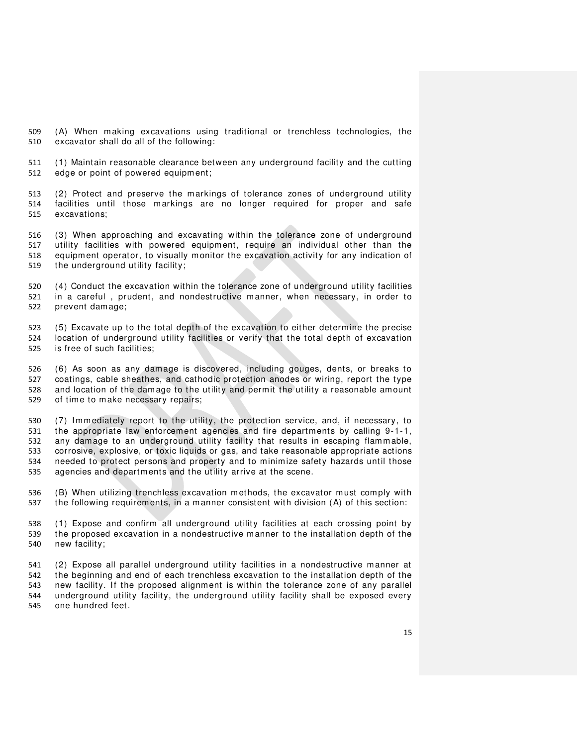(A) When making excavations using traditional or trenchless technologies, the excavator shall do all of the following:

 (1) Maintain reasonable clearance between any underground facility and the cutting edge or point of powered equipment;

 (2) Protect and preserve the markings of tolerance zones of underground utility facilities until those m arkings are no longer required for proper and safe excavations;

 (3) When approaching and excavating within the tolerance zone of underground utility facilities with powered equipment, require an individual other than the equipment operator, to visually monitor the excavation activity for any indication of the underground utility facility;

 (4) Conduct the excavation within the tolerance zone of underground utility facilities in a careful , prudent, and nondestructive manner, when necessary, in order to prevent damage;

 (5) Excavate up to the total depth of the excavation to either determine the precise location of underground utility facilities or verify that the total depth of excavation is free of such facilities;

 (6) As soon as any damage is discovered, including gouges, dents, or breaks to coatings, cable sheathes, and cathodic protection anodes or wiring, report the type and location of the damage to the utility and permit the utility a reasonable amount of time to make necessary repairs;

 (7) Immediately report to the utility, the protection service, and, if necessary, to the appropriate law enforcement agencies and fire departments by calling 9-1-1, any damage to an underground utility facility that results in escaping flammable, corrosive, explosive, or toxic liquids or gas, and take reasonable appropriate actions needed to protect persons and property and to minimize safety hazards until those agencies and departments and the utility arrive at the scene.

536 (B) When utilizing trenchless excavation methods, the excavator must comply with the following requirements, in a manner consistent with division (A) of this section:

538 (1) Expose and confirm all underground utility facilities at each crossing point by the proposed excavation in a nondestructive manner to the installation depth of the new facility;

 (2) Expose all parallel underground utility facilities in a nondestructive m anner at the beginning and end of each trenchless excavation to the installation depth of the new facility. If the proposed alignment is within the tolerance zone of any parallel underground utility facility, the underground utility facility shall be exposed every one hundred feet.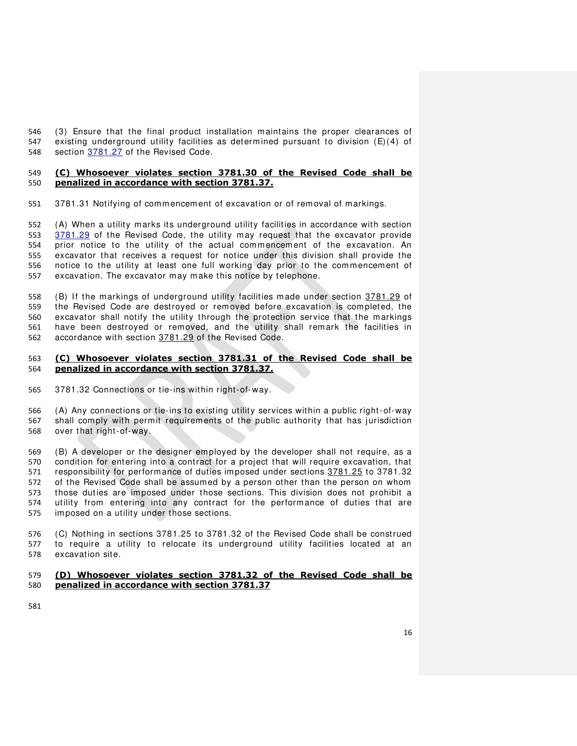(3) Ensure that the final product installation maintains the proper clearances of existing underground utility facilities as determined pursuant to division (E)(4) of section [3781.27](http://codes.ohio.gov/orc/3781.27) of the Revised Code.

#### **(C) Whosoever violates section 3781.30 of the Revised Code shall be penalized in accordance with section 3781.37.**

[3781.31 Notifying of commencement of excavation or of removal of markings.](http://codes.ohio.gov/orc/3781.31) 

 (A) When a utility marks its underground utility facilities in accordance with section [3781.29](http://codes.ohio.gov/orc/3781.29) of the Revised Code, the utility may request that the excavator provide prior notice to the utility of the actual commencement of the excavation. An excavator that receives a request for notice under this division shall provide the notice to the utility at least one full working day prior to the commencement of excavation. The excavator may make this notice by telephone.

 (B) If the markings of underground utility facilities made under section [3781.29](http://codes.ohio.gov/orc/3781.29) of the Revised Code are destroyed or removed before excavation is completed, the excavator shall notify the utility through the protection service that the markings have been destroyed or removed, and the utility shall remark the facilities in accordance with section [3781.29](http://codes.ohio.gov/orc/3781.29) of the Revised Code.

## **(C) Whosoever violates section 3781.31 of the Revised Code shall be penalized in accordance with section 3781.37.**

[3781.32 Connections or tie-ins within right-of-way.](http://codes.ohio.gov/orc/3781.32) 

 (A) Any connections or tie-ins to existing utility services within a public right -of-way shall comply with permit requirements of the public authority that has jurisdiction over that right-of-way.

 (B) A developer or the designer employed by the developer shall not require, as a condition for entering into a contract for a project that will require excavation, that responsibility for performance of duties imposed under sections [3781.25](http://codes.ohio.gov/orc/3781.25) to 3781.32 of the Revised Code shall be assumed by a person other than the person on whom those duties are imposed under those sections. This division does not prohibit a utility from entering into any contract for the performance of duties that are imposed on a utility under those sections.

 (C) Nothing in sections 3781.25 to 3781.32 of the Revised Code shall be construed to require a utility to relocate its underground utility facilities located at an excavation site.

## **(D) Whosoever violates section 3781.32 of the Revised Code shall be penalized in accordance with section 3781.37**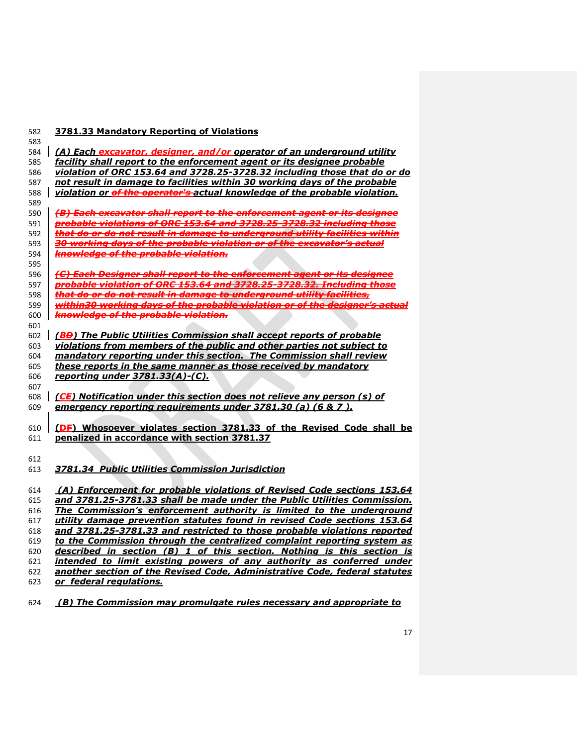## **3781.33 Mandatory Reporting of Violations**

| 584 | (A) Each excavator, designer, and/or operator of an underground utility                                                                         |
|-----|-------------------------------------------------------------------------------------------------------------------------------------------------|
| 585 | facility shall report to the enforcement agent or its designee probable                                                                         |
| 586 | violation of ORC 153.64 and 3728.25-3728.32 including those that do or do                                                                       |
| 587 | not result in damage to facilities within 30 working days of the probable                                                                       |
| 588 | violation or of the operator's actual knowledge of the probable violation.                                                                      |
| 589 |                                                                                                                                                 |
| 590 | (B) Each excavator shall report to the enforcement agent or its designee                                                                        |
| 591 | probable violations of ORC 153.64 and 3728.25-3728.32 including those                                                                           |
| 592 | that do or do not result in damage to underground utility facilities within                                                                     |
| 593 | 30 working days of the probable violation or of the excavator's actual                                                                          |
| 594 | knowledge of the probable violation.                                                                                                            |
| 595 |                                                                                                                                                 |
| 596 | (C) Each Designer shall report to the enforcement agent or its designee                                                                         |
| 597 | probable violation of ORC 153.64 and 3728.25 3728.32. Including those                                                                           |
| 598 | that do or do not result in damage to underground utility facilities,                                                                           |
| 599 | within30 working days of the probable violation or of the designer's actual                                                                     |
| 600 | <b>knowledge of the probable violation.</b>                                                                                                     |
| 601 |                                                                                                                                                 |
| 602 | (BB) The Public Utilities Commission shall accept reports of probable                                                                           |
| 603 | violations from members of the public and other parties not subject to                                                                          |
| 604 | mandatory reporting under this section. The Commission shall review                                                                             |
| 605 | these reports in the same manner as those received by mandatory                                                                                 |
| 606 | reporting under 3781.33(A)-(C).                                                                                                                 |
| 607 |                                                                                                                                                 |
| 608 | (CE) Notification under this section does not relieve any person (s) of                                                                         |
| 609 | emergency reporting requirements under 3781.30 (a) (6 & 7).                                                                                     |
|     |                                                                                                                                                 |
| 610 | (DF) Whosoever violates section 3781.33 of the Revised Code shall be                                                                            |
| 611 | penalized in accordance with section 3781.37                                                                                                    |
|     |                                                                                                                                                 |
| 612 |                                                                                                                                                 |
| 613 | 3781.34 Public Utilities Commission Jurisdiction                                                                                                |
|     |                                                                                                                                                 |
| 614 | (A) Enforcement for probable violations of Revised Code sections 153.64                                                                         |
| 615 | and 3781.25-3781.33 shall be made under the Public Utilities Commission.                                                                        |
| 616 | The Commission's enforcement authority is limited to the underground                                                                            |
| 617 | utility damage prevention statutes found in revised Code sections 153.64                                                                        |
| 618 | and 3781.25-3781.33 and restricted to those probable violations reported                                                                        |
| 619 | to the Commission through the centralized complaint reporting system as                                                                         |
| 620 | described in section (B) 1 of this section. Nothing is this section is<br>intended to limit existing powers of any authority as conferred under |
| 621 | another section of the Revised Code, Administrative Code, federal statutes                                                                      |
| 622 | or federal regulations.                                                                                                                         |
| 623 |                                                                                                                                                 |

 *(B) The Commission may promulgate rules necessary and appropriate to*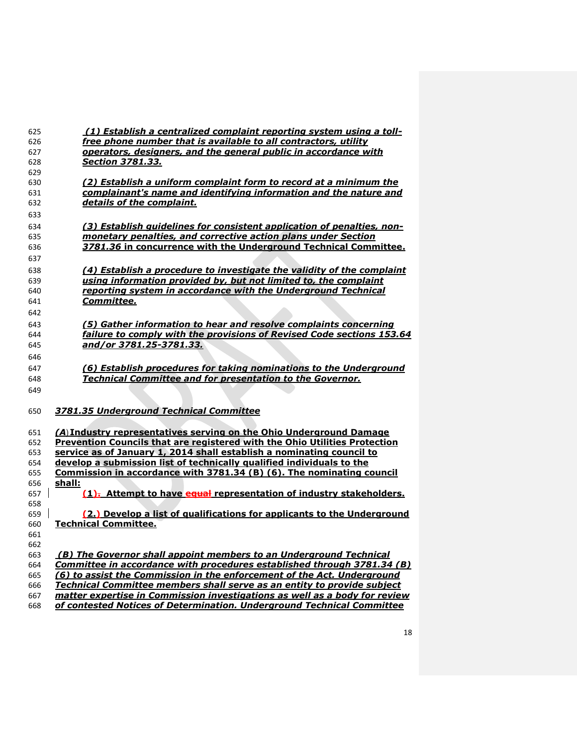| 625        | (1) Establish a centralized complaint reporting system using a toll-              |
|------------|-----------------------------------------------------------------------------------|
| 626        | free phone number that is available to all contractors, utility                   |
| 627        | operators, designers, and the general public in accordance with                   |
| 628        | <i>Section 3781.33.</i>                                                           |
| 629        |                                                                                   |
| 630        | <u>(2) Establish a uniform complaint form to record at a minimum the </u>         |
| 631        | complainant's name and identifying information and the nature and                 |
| 632        | details of the complaint.                                                         |
| 633        |                                                                                   |
| 634        | (3) Establish guidelines for consistent application of penalties, non-            |
| 635        | monetary penalties, and corrective action plans under Section                     |
| 636        | 3781.36 in concurrence with the Underground Technical Committee.                  |
| 637        |                                                                                   |
| 638        | (4) Establish a procedure to investigate the validity of the complaint            |
| 639        | using information provided by, but not limited to, the complaint                  |
| 640        | reporting system in accordance with the Underground Technical                     |
| 641        | <i><b>Committee.</b></i>                                                          |
| 642        |                                                                                   |
| 643        | (5) Gather information to hear and resolve complaints concerning                  |
| 644        | failure to comply with the provisions of Revised Code sections 153.64             |
| 645        | and/or 3781.25-3781.33.                                                           |
| 646        |                                                                                   |
| 647        | (6) Establish procedures for taking nominations to the Underground                |
| 648        | <b>Technical Committee and for presentation to the Governor.</b>                  |
| 649        |                                                                                   |
|            |                                                                                   |
| 650        | 3781.35 Underground Technical Committee                                           |
|            |                                                                                   |
| 651        | (A) Industry representatives serving on the Ohio Underground Damage               |
| 652        | <b>Prevention Councils that are registered with the Ohio Utilities Protection</b> |
| 653        | service as of January 1, 2014 shall establish a nominating council to             |
| 654        | develop a submission list of technically qualified individuals to the             |
| 655        | Commission in accordance with 3781.34 (B) (6). The nominating council             |
| 656        | shall:                                                                            |
| 657        | $(1)$ . Attempt to have equal representation of industry stakeholders.            |
| 658        |                                                                                   |
| 659        | (2.) Develop a list of qualifications for applicants to the Underground           |
| 660        | <b>Technical Committee.</b>                                                       |
| 661<br>662 |                                                                                   |
| 663        | (B) The Governor shall appoint members to an Underground Technical                |
| 664        | Committee in accordance with procedures established through 3781.34 (B)           |
| 665        | (6) to assist the Commission in the enforcement of the Act. Underground           |
| 666        | Technical Committee members shall serve as an entity to provide subject           |
| 667        | matter expertise in Commission investigations as well as a body for review        |
| 668        | of contested Notices of Determination. Underground Technical Committee            |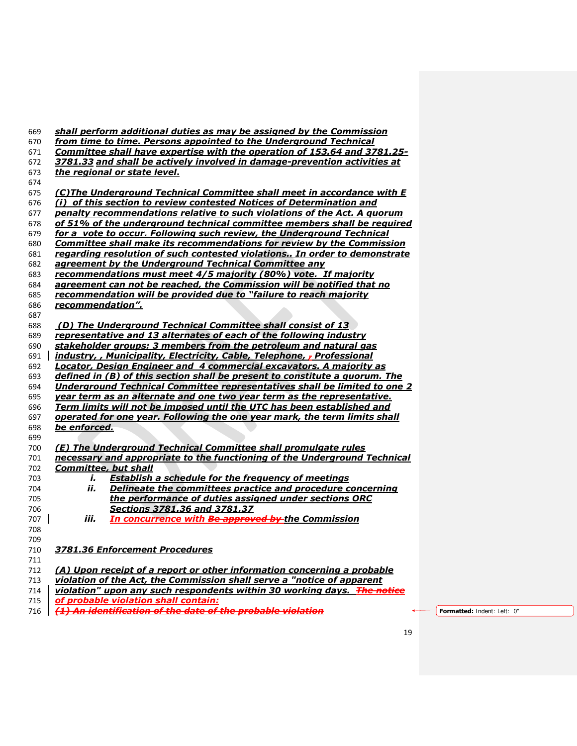| 669        | shall perform additional duties as may be assigned by the Commission                                                                                         |                             |
|------------|--------------------------------------------------------------------------------------------------------------------------------------------------------------|-----------------------------|
| 670        | from time to time. Persons appointed to the Underground Technical                                                                                            |                             |
| 671<br>672 | <b>Committee shall have expertise with the operation of 153.64 and 3781.25-</b><br>3781.33 and shall be actively involved in damage-prevention activities at |                             |
| 673        | the regional or state level.                                                                                                                                 |                             |
| 674        |                                                                                                                                                              |                             |
| 675        | <u>(C)The Underground Technical Committee shall meet in accordance with E</u>                                                                                |                             |
| 676        | (i) of this section to review contested Notices of Determination and                                                                                         |                             |
| 677        | penalty recommendations relative to such violations of the Act. A quorum                                                                                     |                             |
| 678        | of 51% of the underground technical committee members shall be required                                                                                      |                             |
| 679        | for a vote to occur. Following such review, the Underground Technical                                                                                        |                             |
| 680        | <b>Committee shall make its recommendations for review by the Commission</b>                                                                                 |                             |
| 681        | regarding resolution of such contested violations In order to demonstrate                                                                                    |                             |
| 682        | agreement by the Underground Technical Committee any                                                                                                         |                             |
| 683        | recommendations must meet 4/5 majority (80%) vote. If majority                                                                                               |                             |
| 684        | agreement can not be reached, the Commission will be notified that no                                                                                        |                             |
| 685        | recommendation will be provided due to "failure to reach majority                                                                                            |                             |
| 686<br>687 | recommendation".                                                                                                                                             |                             |
| 688        | (D) The Underground Technical Committee shall consist of 13                                                                                                  |                             |
| 689        | representative and 13 alternates of each of the following industry                                                                                           |                             |
| 690        | stakeholder groups: 3 members from the petroleum and natural gas                                                                                             |                             |
| 691        | industry, , Municipality, Electricity, Cable, Telephone, - Professional                                                                                      |                             |
| 692        | <b>Locator, Design Engineer and 4 commercial excavators. A majority as</b>                                                                                   |                             |
| 693        | defined in (B) of this section shall be present to constitute a guorum. The                                                                                  |                             |
| 694        | Underground Technical Committee representatives shall be limited to one 2                                                                                    |                             |
| 695        | year term as an alternate and one two year term as the representative.                                                                                       |                             |
| 696        | Term limits will not be imposed until the UTC has been established and                                                                                       |                             |
| 697        | operated for one year. Following the one year mark, the term limits shall                                                                                    |                             |
| 698        | be enforced.                                                                                                                                                 |                             |
| 699<br>700 | (E) The Underground Technical Committee shall promulgate rules                                                                                               |                             |
| 701        | necessary and appropriate to the functioning of the Underground Technical                                                                                    |                             |
| 702        | <b>Committee, but shall</b>                                                                                                                                  |                             |
| 703        | <b>Establish a schedule for the frequency of meetings</b><br>i.                                                                                              |                             |
| 704        | ii.<br>Delineate the committees practice and procedure concerning                                                                                            |                             |
| 705        | the performance of duties assigned under sections ORC                                                                                                        |                             |
| 706        | Sections 3781.36 and 3781.37                                                                                                                                 |                             |
| 707        | iii.<br><u> In concurrence with <del>Be approved by </del>the Commission</u>                                                                                 |                             |
| 708        |                                                                                                                                                              |                             |
| 709        |                                                                                                                                                              |                             |
| 710        | 3781.36 Enforcement Procedures                                                                                                                               |                             |
| 711<br>712 | (A) Upon receipt of a report or other information concerning a probable                                                                                      |                             |
| 713        | violation of the Act, the Commission shall serve a "notice of apparent                                                                                       |                             |
| 714        | violation" upon any such respondents within 30 working days. The notice                                                                                      |                             |
| 715        | <del>of probable violation shall contain:</del>                                                                                                              |                             |
| 716        | (1) An identification of the date of the probable violation                                                                                                  | Formatted: Indent: Left: 0" |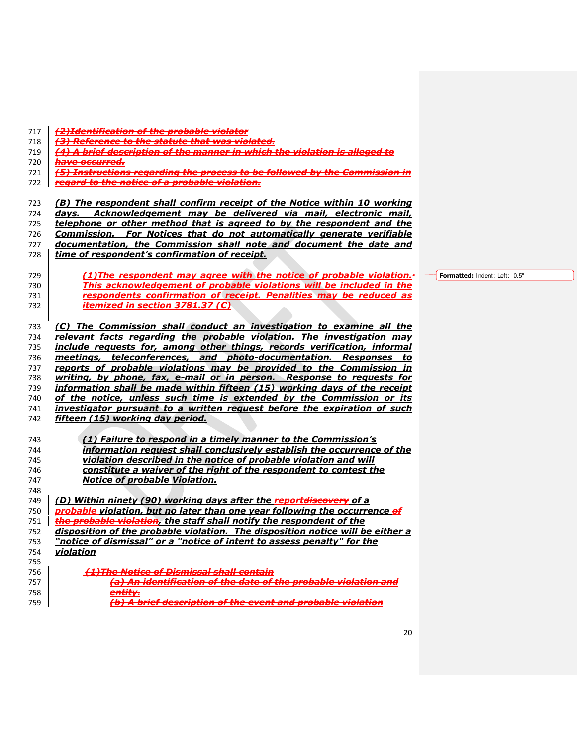|  | 717   <del>(2)Identification of the probable violator</del> |
|--|-------------------------------------------------------------|
|  |                                                             |

- *(3) Reference to the statute that was violated.*
- *(4) A brief description of the manner in which the violation is alleged to*
- *have occurred.*
- *(5) Instructions regarding the process to be followed by the Commission in*
- *regard to the notice of a probable violation.*

*(B) The respondent shall confirm receipt of the Notice within 10 working* 

*days. Acknowledgement may be delivered via mail, electronic mail,* 

*telephone or other method that is agreed to by the respondent and the* 

- *Commission. For Notices that do not automatically generate verifiable*
- *documentation, the Commission shall note and document the date and time of respondent's confirmation of receipt.*
- *(1)The respondent may agree with the notice of probable violation. This acknowledgement of probable violations will be included in the respondents confirmation of receipt. Penalities may be reduced as itemized in section 3781.37 (C)*

 *(C) The Commission shall conduct an investigation to examine all the relevant facts regarding the probable violation. The investigation may include requests for, among other things, records verification, informal meetings, teleconferences, and photo-documentation. Responses to reports of probable violations may be provided to the Commission in writing, by phone, fax, e-mail or in person. Response to requests for information shall be made within fifteen (15) working days of the receipt of the notice, unless such time is extended by the Commission or its investigator pursuant to a written request before the expiration of such fifteen (15) working day period.* 

 *(1) Failure to respond in a timely manner to the Commission's information request shall conclusively establish the occurrence of the violation described in the notice of probable violation and will constitute a waiver of the right of the respondent to contest the Notice of probable Violation.*  

 *(D) Within ninety (90) working days after the reportdiscovery of a probable violation, but no later than one year following the occurrence of the probable violation, the staff shall notify the respondent of the disposition of the probable violation. The disposition notice will be either a "notice of dismissal" or a "notice of intent to assess penalty" for the violation (1)The Notice of Dismissal shall contain (a) An identification of the date of the probable violation and* 

- *entity.*
- *(b) A brief description of the event and probable violation*

**Formatted:** Indent: Left: 0.5"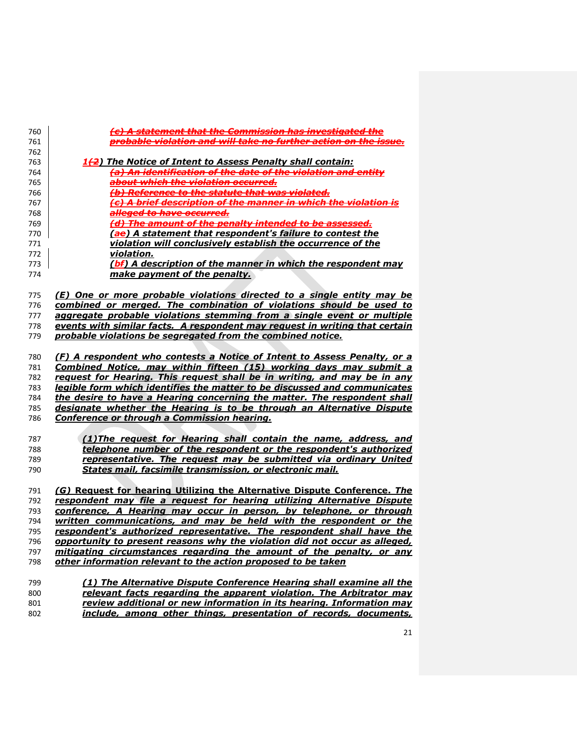| 760 | (c) A statement that the Commission has investigated the                    |
|-----|-----------------------------------------------------------------------------|
| 761 | probable violation and will take no further action on the issue.            |
| 762 |                                                                             |
| 763 | 1(2) The Notice of Intent to Assess Penalty shall contain:                  |
| 764 | (a) An identification of the date of the violation and entity               |
| 765 | about which the violation occurred.                                         |
| 766 | (b) Reference to the statute that was violated.                             |
| 767 | (c) A brief description of the manner in which the violation is             |
| 768 | alleged to have occurred.                                                   |
| 769 | (d) The amount of the penalty intended to be assessed.                      |
| 770 | (ae) A statement that respondent's failure to contest the                   |
| 771 | violation will conclusively establish the occurrence of the                 |
| 772 | violation.                                                                  |
| 773 | (bf) A description of the manner in which the respondent may                |
| 774 | make payment of the penalty.                                                |
|     |                                                                             |
|     |                                                                             |
| 775 | (E) One or more probable violations directed to a single entity may be      |
| 776 | combined or merged. The combination of violations should be used to         |
| 777 | aggregate probable violations stemming from a single event or multiple      |
| 778 | events with similar facts. A respondent may request in writing that certain |
| 779 | probable violations be segregated from the combined notice.                 |
|     |                                                                             |
| 780 | (F) A respondent who contests a Notice of Intent to Assess Penalty, or a    |
| 781 | Combined Notice, may within fifteen (15) working days may submit a          |
| 782 | request for Hearing. This request shall be in writing, and may be in any    |
| 783 | legible form which identifies the matter to be discussed and communicates   |
| 784 | the desire to have a Hearing concerning the matter. The respondent shall    |
| 785 | designate whether the Hearing is to be through an Alternative Dispute       |
| 786 | Conference or through a Commission hearing.                                 |
|     |                                                                             |
| 787 | (1) The request for Hearing shall contain the name, address, and            |
| 788 | telephone number of the respondent or the respondent's authorized           |
| 789 | representative. The request may be submitted via ordinary United            |
| 790 | States mail, facsimile transmission, or electronic mail.                    |
|     |                                                                             |
| 791 | (G) Request for hearing Utilizing the Alternative Dispute Conference. The   |
| 792 | respondent may file a request for hearing utilizing Alternative Dispute     |
| 793 | conference, A Hearing may occur in person, by telephone, or through         |
| 794 | written communications, and may be held with the respondent or the          |
| 795 | respondent's authorized representative. The respondent shall have the       |
| 796 | opportunity to present reasons why the violation did not occur as alleged,  |
| 797 | mitigating circumstances regarding the amount of the penalty, or any        |
| 798 | other information relevant to the action proposed to be taken               |
|     |                                                                             |
| 799 | (1) The Alternative Dispute Conference Hearing shall examine all the        |
| 800 | relevant facts regarding the apparent violation. The Arbitrator may         |
| 801 | review additional or new information in its hearing. Information may        |
| 802 | include, among other things, presentation of records, documents,            |
|     |                                                                             |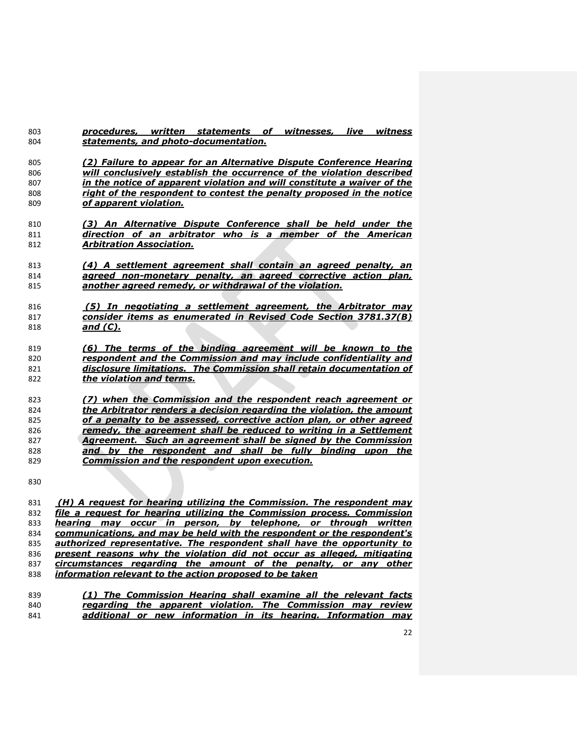| 803 | procedures, written statements of witnesses, live<br>witness            |
|-----|-------------------------------------------------------------------------|
| 804 | statements, and photo-documentation.                                    |
|     |                                                                         |
| 805 | (2) Failure to appear for an Alternative Dispute Conference Hearing     |
| 806 | will conclusively establish the occurrence of the violation described   |
| 807 | in the notice of apparent violation and will constitute a waiver of the |
| 808 | right of the respondent to contest the penalty proposed in the notice   |
| 809 | of apparent violation.                                                  |
|     | (3) An Alternative Dispute Conference shall be held under the           |
| 810 |                                                                         |
| 811 | direction of an arbitrator who is a member of the American              |
| 812 | <b>Arbitration Association.</b>                                         |
|     |                                                                         |
| 813 | (4) A settlement agreement shall contain an agreed penalty, an          |
| 814 | agreed non-monetary penalty, an agreed corrective action plan,          |
| 815 | another agreed remedy, or withdrawal of the violation.                  |
|     |                                                                         |
| 816 | <u>(5) In negotiating a settlement agreement, the Arbitrator may</u>    |
| 817 | consider items as enumerated in Revised Code Section 3781.37(B)         |
| 818 | <u>and (C).</u>                                                         |
|     |                                                                         |
| 819 | (6) The terms of the binding agreement will be known to the             |
| 820 | respondent and the Commission and may include confidentiality and       |
| 821 | disclosure limitations. The Commission shall retain documentation of    |
| 822 | the violation and terms.                                                |
|     |                                                                         |
| 823 | (7) when the Commission and the respondent reach agreement or           |
| 824 | the Arbitrator renders a decision regarding the violation, the amount   |
| 825 | of a penalty to be assessed, corrective action plan, or other agreed    |
| 826 | remedy, the agreement shall be reduced to writing in a Settlement       |
| 827 | <u>Agreement. Such an agreement shall be signed by the Commission</u>   |
| 828 | and by the respondent and shall be fully binding upon the               |
| 829 | <b>Commission and the respondent upon execution.</b>                    |
|     |                                                                         |
| 830 |                                                                         |

 *(H) A request for hearing utilizing the Commission. The respondent may file a request for hearing utilizing the Commission process. Commission hearing may occur in person, by telephone, or through written* 834 *communications, and may be held with the respondent or the respondent's communications, and may be held with the respondent or the respondent's*  authorized representative. The respondent shall have the opportunity to *present reasons why the violation did not occur as alleged, mitigating circumstances regarding the amount of the penalty, or any other information relevant to the action proposed to be taken* 

 *(1) The Commission Hearing shall examine all the relevant facts regarding the apparent violation. The Commission may review additional or new information in its hearing. Information may*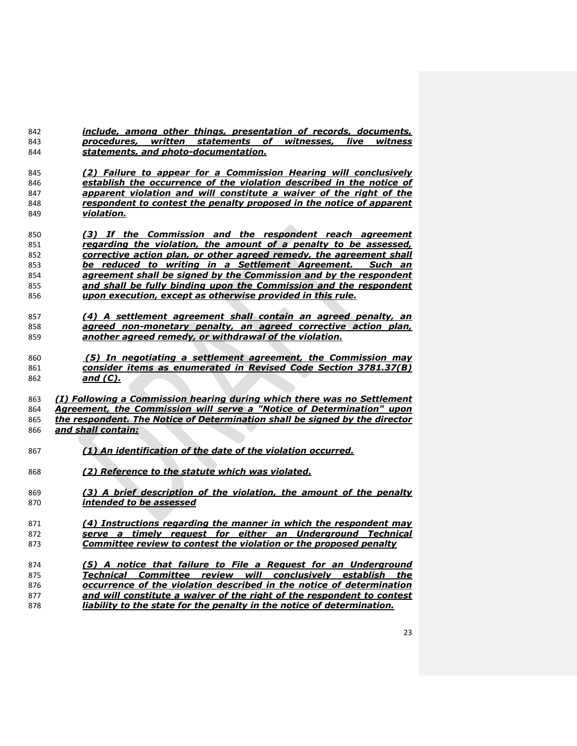| 842 | include, among other things, presentation of records, documents,                                                                 |
|-----|----------------------------------------------------------------------------------------------------------------------------------|
| 843 | procedures,<br>written statements of<br>witnesses,<br>live<br>witness                                                            |
| 844 | statements, and photo-documentation.                                                                                             |
|     |                                                                                                                                  |
| 845 | (2) Failure to appear for a Commission Hearing will conclusively                                                                 |
| 846 | establish the occurrence of the violation described in the notice of                                                             |
| 847 | apparent violation and will constitute a waiver of the right of the                                                              |
| 848 | respondent to contest the penalty proposed in the notice of apparent                                                             |
| 849 | violation.                                                                                                                       |
|     |                                                                                                                                  |
| 850 | (3) If the Commission and the respondent reach agreement                                                                         |
| 851 | regarding the violation, the amount of a penalty to be assessed,                                                                 |
| 852 | corrective action plan, or other agreed remedy, the agreement shall                                                              |
| 853 | be reduced to writing in a Settlement Agreement. Such an                                                                         |
| 854 | agreement shall be signed by the Commission and by the respondent                                                                |
| 855 | and shall be fully binding upon the Commission and the respondent                                                                |
| 856 | upon execution, except as otherwise provided in this rule.                                                                       |
|     |                                                                                                                                  |
| 857 | (4) A settlement agreement shall contain an agreed penalty, an                                                                   |
| 858 | agreed non-monetary penalty, an agreed corrective action plan,                                                                   |
| 859 | another agreed remedy, or withdrawal of the violation.                                                                           |
|     |                                                                                                                                  |
| 860 | (5) In negotiating a settlement agreement, the Commission may<br>consider items as enumerated in Revised Code Section 3781.37(B) |
| 861 | and $(C)$ .                                                                                                                      |
| 862 |                                                                                                                                  |
| 863 | (1) Following a Commission hearing during which there was no Settlement                                                          |
| 864 | Agreement, the Commission will serve a "Notice of Determination" upon                                                            |
| 865 | the respondent. The Notice of Determination shall be signed by the director                                                      |
| 866 | and shall contain:                                                                                                               |
|     |                                                                                                                                  |
| 867 | (1) An identification of the date of the violation occurred.                                                                     |
|     |                                                                                                                                  |
| 868 | (2) Reference to the statute which was violated.                                                                                 |
|     |                                                                                                                                  |
| 869 | (3) A brief description of the violation, the amount of the penalty                                                              |
| 870 | intended to be assessed                                                                                                          |
|     |                                                                                                                                  |
| 871 | (4) Instructions regarding the manner in which the respondent may                                                                |
| 872 | serve a timely request for either an Underground Technical                                                                       |
| 873 | Committee review to contest the violation or the proposed penalty                                                                |
|     |                                                                                                                                  |
| 874 | (5) A notice that failure to File a Request for an Underground                                                                   |
| 875 | Committee review will conclusively establish<br>Technical<br>the                                                                 |
| 876 | occurrence of the violation described in the notice of determination                                                             |
| 877 | and will constitute a waiver of the right of the respondent to contest                                                           |
| 878 | liability to the state for the penalty in the notice of determination.                                                           |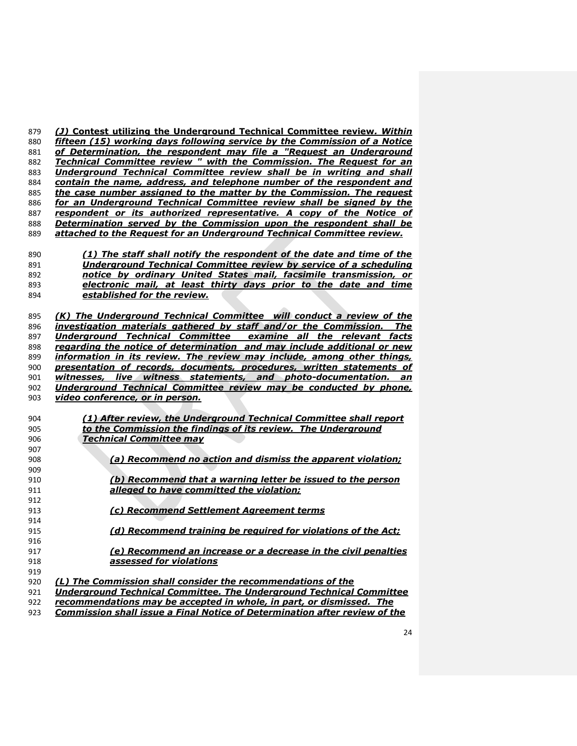| 879 | (J) Contest utilizing the Underground Technical Committee review. Within    |
|-----|-----------------------------------------------------------------------------|
| 880 | fifteen (15) working days following service by the Commission of a Notice   |
| 881 | of Determination, the respondent may file a "Request an Underground         |
| 882 | Technical Committee review " with the Commission. The Request for an        |
| 883 | Underground Technical Committee review shall be in writing and shall        |
| 884 | contain the name, address, and telephone number of the respondent and       |
| 885 | the case number assigned to the matter by the Commission. The request       |
| 886 | for an Underground Technical Committee review shall be signed by the        |
| 887 | respondent or its authorized representative. A copy of the Notice of        |
| 888 | Determination served by the Commission upon the respondent shall be         |
| 889 | attached to the Request for an Underground Technical Committee review.      |
| 890 | (1) The staff shall notify the respondent of the date and time of the       |
| 891 | <b>Underground Technical Committee review by service of a scheduling</b>    |
| 892 | notice by ordinary United States mail, facsimile transmission, or           |
| 893 | electronic mail, at least thirty days prior to the date and time            |
| 894 | established for the review.                                                 |
|     |                                                                             |
| 895 | (K) The Underground Technical Committee will conduct a review of the        |
| 896 | investigation materials gathered by staff and/or the Commission. The        |
| 897 | Underground Technical Committee examine all the relevant facts              |
| 898 | regarding the notice of determination and may include additional or new     |
| 899 | information in its review. The review may include, among other things,      |
| 900 | presentation of records, documents, procedures, written statements of       |
| 901 | live witness statements, and photo-documentation.<br>witnesses,<br>an       |
| 902 | Underground Technical Committee review may be conducted by phone,           |
| 903 | video conference, or in person.                                             |
|     |                                                                             |
| 904 | (1) After review, the Underground Technical Committee shall report          |
| 905 | to the Commission the findings of its review. The Underground               |
| 906 | <b>Technical Committee may</b>                                              |
| 907 |                                                                             |
| 908 | (a) Recommend no action and dismiss the apparent violation;                 |
| 909 |                                                                             |
| 910 | (b) Recommend that a warning letter be issued to the person                 |
| 911 | alleged to have committed the violation;                                    |
| 912 |                                                                             |
| 913 | (c) Recommend Settlement Agreement terms                                    |
| 914 |                                                                             |
| 915 | (d) Recommend training be required for violations of the Act;               |
| 916 |                                                                             |
| 917 | (e) Recommend an increase or a decrease in the civil penalties              |
| 918 | assessed for violations                                                     |
| 919 |                                                                             |
| 920 | (L) The Commission shall consider the recommendations of the                |
| 921 | <b>Underground Technical Committee. The Underground Technical Committee</b> |
| 922 | recommendations may be accepted in whole, in part, or dismissed. The        |

*Commission shall issue a Final Notice of Determination after review of the*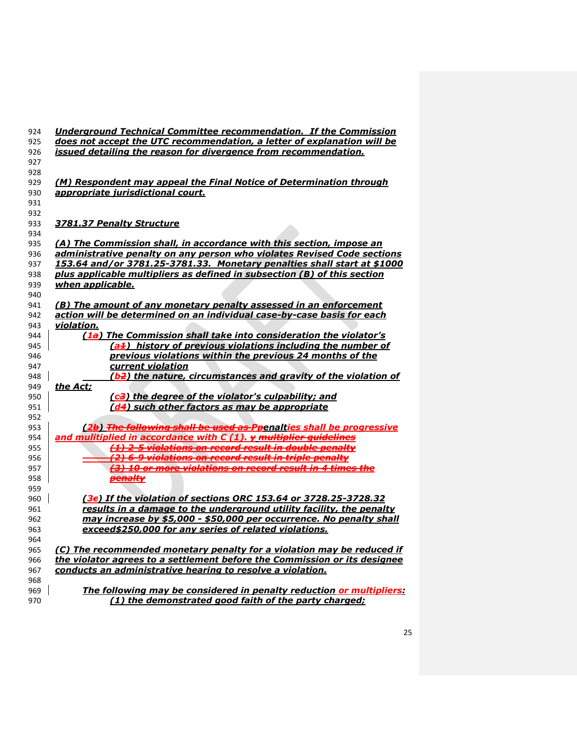| 924 | <b>Underground Technical Committee recommendation. If the Commission</b>      |
|-----|-------------------------------------------------------------------------------|
| 925 | does not accept the UTC recommendation, a letter of explanation will be       |
| 926 | issued detailing the reason for divergence from recommendation.               |
| 927 |                                                                               |
| 928 |                                                                               |
| 929 | (M) Respondent may appeal the Final Notice of Determination through           |
| 930 | appropriate jurisdictional court.                                             |
| 931 |                                                                               |
| 932 |                                                                               |
| 933 | 3781.37 Penalty Structure                                                     |
| 934 |                                                                               |
| 935 | (A) The Commission shall, in accordance with this section, impose an          |
| 936 | administrative penalty on any person who violates Revised Code sections       |
| 937 | 153.64 and/or 3781.25-3781.33. Monetary penalties shall start at \$1000       |
| 938 | plus applicable multipliers as defined in subsection (B) of this section      |
| 939 | when applicable.                                                              |
| 940 |                                                                               |
| 941 | (B) The amount of any monetary penalty assessed in an enforcement             |
| 942 | action will be determined on an individual case-by-case basis for each        |
| 943 | violation.                                                                    |
| 944 | (1a) The Commission shall take into consideration the violator's              |
| 945 | (a <sup>+</sup> ) history of previous violations including the number of      |
| 946 | previous violations within the previous 24 months of the                      |
| 947 | current violation                                                             |
| 948 | (b <del>2</del> ) the nature, circumstances and gravity of the violation of   |
| 949 | the Act;                                                                      |
| 950 | (c3) the degree of the violator's culpability; and                            |
| 951 | (d4) such other factors as may be appropriate                                 |
| 952 |                                                                               |
| 953 | (2b) The following shall be used as Ppenalties shall be progressive           |
| 954 | and mulitiplied in accordance with $C(1)$ . $\gamma$ multiplier quidelines    |
| 955 | (1) 2-5 violations on record result in double penalty                         |
| 956 | (2) 6-9 violations on record result in triple penalty                         |
| 957 | <del>(3) 10 or more violations on record result in 4 times the</del>          |
| 958 | penalty                                                                       |
| 959 |                                                                               |
| 960 | (3e) If the violation of sections ORC 153.64 or 3728.25-3728.32               |
| 961 | results in a damage to the underground utility facility, the penalty          |
| 962 | may increase by \$5,000 - \$50,000 per occurrence. No penalty shall           |
| 963 | exceed\$250,000 for any series of related violations.                         |
| 964 |                                                                               |
| 965 | <u>(C) The recommended monetary penalty for a violation may be reduced if</u> |
| 966 | the violator agrees to a settlement before the Commission or its designee     |
| 967 | conducts an administrative hearing to resolve a violation.                    |
| 968 |                                                                               |
| 969 | The following may be considered in penalty reduction or multipliers:          |
| 970 | (1) the demonstrated good faith of the party charged;                         |
|     |                                                                               |
|     |                                                                               |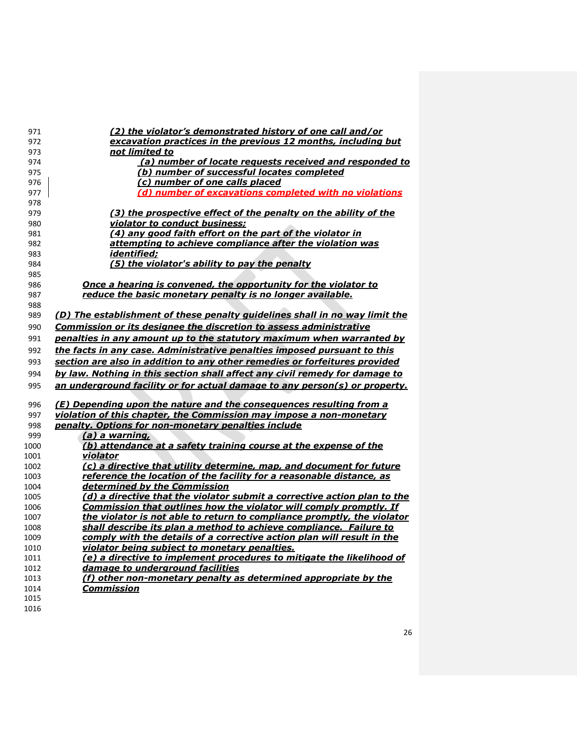| 971  | (2) the violator's demonstrated history of one call and/or                  |
|------|-----------------------------------------------------------------------------|
| 972  | excavation practices in the previous 12 months, including but               |
| 973  | not limited to                                                              |
| 974  | (a) number of locate requests received and responded to                     |
| 975  | (b) number of successful locates completed                                  |
| 976  | (c) number of one calls placed                                              |
| 977  | (d) number of excavations completed with no violations                      |
| 978  |                                                                             |
| 979  | (3) the prospective effect of the penalty on the ability of the             |
| 980  | violator to conduct business;                                               |
| 981  | (4) any good faith effort on the part of the violator in                    |
| 982  | attempting to achieve compliance after the violation was                    |
| 983  | identified;                                                                 |
| 984  | (5) the violator's ability to pay the penalty                               |
| 985  |                                                                             |
| 986  | Once a hearing is convened, the opportunity for the violator to             |
| 987  | reduce the basic monetary penalty is no longer available.                   |
| 988  |                                                                             |
| 989  | (D) The establishment of these penalty guidelines shall in no way limit the |
| 990  | Commission or its designee the discretion to assess administrative          |
| 991  | penalties in any amount up to the statutory maximum when warranted by       |
| 992  | the facts in any case. Administrative penalties imposed pursuant to this    |
| 993  | section are also in addition to any other remedies or forfeitures provided  |
| 994  | by law. Nothing in this section shall affect any civil remedy for damage to |
| 995  | an underground facility or for actual damage to any person(s) or property.  |
| 996  | (E) Depending upon the nature and the consequences resulting from a         |
| 997  | violation of this chapter, the Commission may impose a non-monetary         |
| 998  | penalty. Options for non-monetary penalties include                         |
| 999  | (a) a warning,                                                              |
| 1000 | (b) attendance at a safety training course at the expense of the            |
| 1001 | <u>violator</u>                                                             |
| 1002 | (c) a directive that utility determine, map, and document for future        |
| 1003 | reference the location of the facility for a reasonable distance, as        |
| 1004 | determined by the Commission                                                |
| 1005 | (d) a directive that the violator submit a corrective action plan to the    |
| 1006 | <b>Commission that outlines how the violator will comply promptly. If</b>   |
| 1007 | the violator is not able to return to compliance promptly, the violator     |
| 1008 | shall describe its plan a method to achieve compliance. Failure to          |
| 1009 | comply with the details of a corrective action plan will result in the      |
| 1010 | violator being subject to monetary penalties.                               |
| 1011 | (e) a directive to implement procedures to mitigate the likelihood of       |
| 1012 | damage to underground facilities                                            |
| 1013 | (f) other non-monetary penalty as determined appropriate by the             |
| 1014 | Commission                                                                  |
| 1015 |                                                                             |
| 1016 |                                                                             |